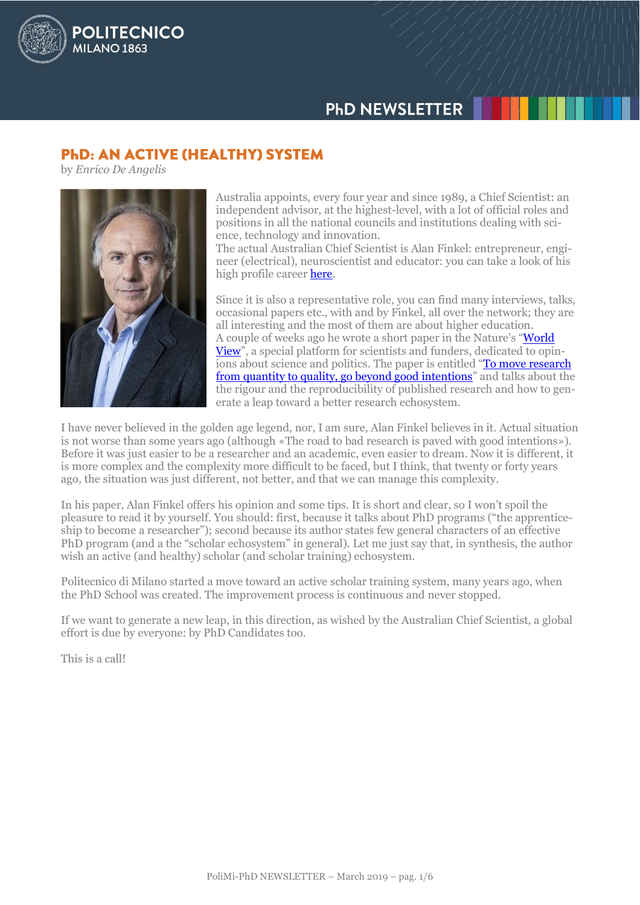# **PHD NEWSLETTER**

# **PHD: AN ACTIVE (HEALTHY) SYSTEM**

by *Enrico De Angelis*

**POLITECNICO** 

MILANO<sub>1863</sub>



Australia appoints, every four year and since 1989, a Chief Scientist: an independent advisor, at the highest-level, with a lot of official roles and positions in all the national councils and institutions dealing with science, technology and innovation.

The actual Australian Chief Scientist is Alan Finkel: entrepreneur, engineer (electrical), neuroscientist and educator: you can take a look of his high profile caree[r here.](https://www.chiefscientist.gov.au/about/biography-2/)

Since it is also a representative role, you can find many interviews, talks, occasional papers etc., with and by Finkel, all over the network; they are all interesting and the most of them are about higher education. A couple of weeks ago he wrote a short paper in the Nature's "[World](https://www.nature.com/collections/sxqqwtnvjj)  [View](https://www.nature.com/collections/sxqqwtnvjj)", a special platform for scientists and funders, dedicated to opinions about science and politics. The paper is entitled "To move research [from quantity to quality, go beyond good intentions](https://www.nature.com/articles/d41586-019-00613-z)" and talks about the the rigour and the reproducibility of published research and how to generate a leap toward a better research echosystem.

I have never believed in the golden age legend, nor, I am sure, Alan Finkel believes in it. Actual situation is not worse than some years ago (although «The road to bad research is paved with good intentions»). Before it was just easier to be a researcher and an academic, even easier to dream. Now it is different, it is more complex and the complexity more difficult to be faced, but I think, that twenty or forty years ago, the situation was just different, not better, and that we can manage this complexity.

In his paper, Alan Finkel offers his opinion and some tips. It is short and clear, so I won't spoil the pleasure to read it by yourself. You should: first, because it talks about PhD programs ("the apprenticeship to become a researcher"); second because its author states few general characters of an effective PhD program (and a the "scholar echosystem" in general). Let me just say that, in synthesis, the author wish an active (and healthy) scholar (and scholar training) echosystem.

Politecnico di Milano started a move toward an active scholar training system, many years ago, when the PhD School was created. The improvement process is continuous and never stopped.

If we want to generate a new leap, in this direction, as wished by the Australian Chief Scientist, a global effort is due by everyone: by PhD Candidates too.

This is a call!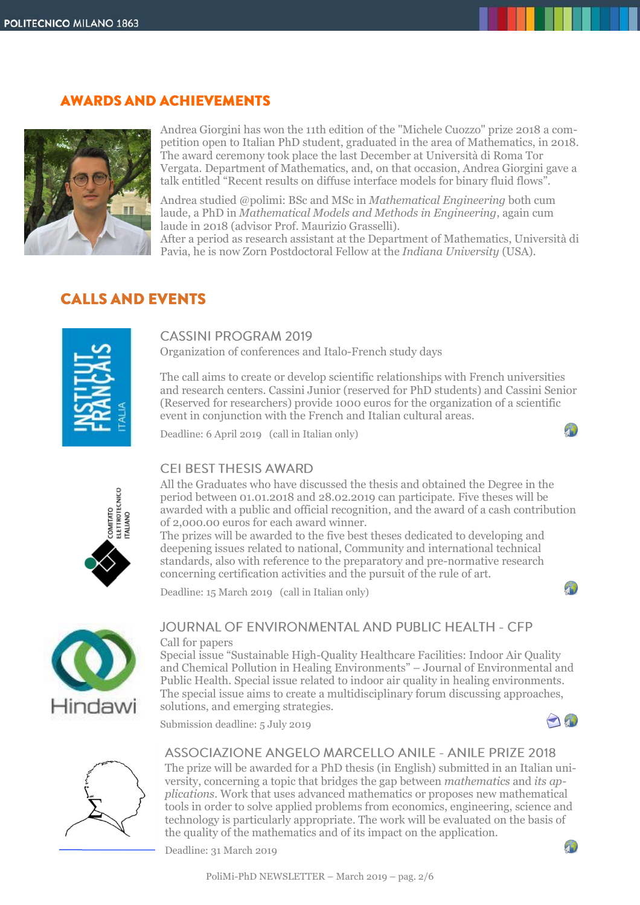# **AWARDS AND ACHIEVEMENTS**



Andrea Giorgini has won the 11th edition of the "Michele Cuozzo" prize 2018 a competition open to Italian PhD student, graduated in the area of Mathematics, in 2018. The award ceremony took place the last December at Università di Roma Tor Vergata. Department of Mathematics, and, on that occasion, Andrea Giorgini gave a talk entitled "Recent results on diffuse interface models for binary fluid flows".

Andrea studied @polimi: BSc and MSc in *Mathematical Engineering* both cum laude, a PhD in *Mathematical Models and Methods in Engineering*, again cum laude in 2018 (advisor Prof. Maurizio Grasselli).

After a period as research assistant at the Department of Mathematics, Università di Pavia, he is now Zorn Postdoctoral Fellow at the *Indiana University* (USA).

# **CALLS AND EVENTS**



## **CASSINI PROGRAM 2019**

Organization of conferences and Italo-French study days

The call aims to create or develop scientific relationships with French universities and research centers. Cassini Junior (reserved for PhD students) and Cassini Senior (Reserved for researchers) provide 1000 euros for the organization of a scientific event in conjunction with the French and Italian cultural areas.

Deadline: 6 April 2019 (call in Italian only)



 $1 - 1$ 



# CELBEST THESIS AWARD

All the Graduates who have discussed the thesis and obtained the Degree in the period between 01.01.2018 and 28.02.2019 can participate. Five theses will be awarded with a public and official recognition, and the award of a cash contribution of 2,000.00 euros for each award winner.

The prizes will be awarded to the five best theses dedicated to developing and deepening issues related to national, Community and international technical standards, also with reference to the preparatory and pre-normative research concerning certification activities and the pursuit of the rule of art.

Deadline: 15 March 2019 (call in Italian only)



#### JOURNAL OF ENVIRONMENTAL AND PUBLIC HEALTH - CFP Call for papers

Special issue "Sustainable High-Quality Healthcare Facilities: Indoor Air Quality and Chemical Pollution in Healing Environments" – Journal of Environmental and Public Health. Special issue related to indoor air quality in healing environments. The special issue aims to create a multidisciplinary forum discussing approaches, solutions, and emerging strategies.

Submission deadline: 5 July 2019



 $+2$ 



ASSOCIAZIONE ANGELO MARCELLO ANILE - ANILE PRIZE 2018

The prize will be awarded for a PhD thesis (in English) submitted in an Italian university, concerning a topic that bridges the gap between *mathematics* and *its applications*. Work that uses advanced mathematics or proposes new mathematical tools in order to solve applied problems from economics, engineering, science and technology is particularly appropriate. The work will be evaluated on the basis of the quality of the mathematics and of its impact on the application.



Deadline: 31 March 2019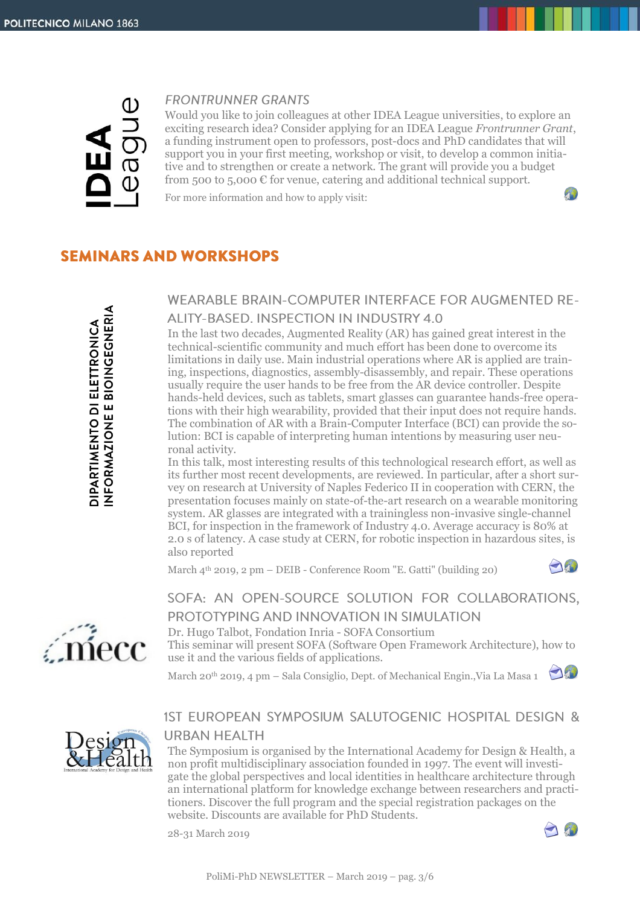

#### **FRONTRUNNER GRANTS**

Would you like to join colleagues at other IDEA League universities, to explore an exciting research idea? Consider applying for an IDEA League *Frontrunner Grant*, a funding instrument open to professors, post-docs and PhD candidates that will support you in your first meeting, workshop or visit, to develop a common initiative and to strengthen or create a network. The grant will provide you a budget from 500 to 5,000  $\epsilon$  for venue, catering and additional technical support.

For more information and how to apply visit:

# **SEMINARS AND WORKSHOPS**

# **WEARABLE BRAIN-COMPUTER INTERFACE FOR AUGMENTED RE-**ALITY-BASED. INSPECTION IN INDUSTRY 4.0

In the last two decades, Augmented Reality (AR) has gained great interest in the technical-scientific community and much effort has been done to overcome its limitations in daily use. Main industrial operations where AR is applied are training, inspections, diagnostics, assembly-disassembly, and repair. These operations usually require the user hands to be free from the AR device controller. Despite hands-held devices, such as tablets, smart glasses can guarantee hands-free operations with their high wearability, provided that their input does not require hands. The combination of AR with a Brain-Computer Interface (BCI) can provide the solution: BCI is capable of interpreting human intentions by measuring user neuronal activity.

In this talk, most interesting results of this technological research effort, as well as its further most recent developments, are reviewed. In particular, after a short survey on research at University of Naples Federico II in cooperation with CERN, the presentation focuses mainly on state-of-the-art research on a wearable monitoring system. AR glasses are integrated with a trainingless non-invasive single-channel BCI, for inspection in the framework of Industry 4.0. Average accuracy is 80% at 2.0 s of latency. A case study at CERN, for robotic inspection in hazardous sites, is also reported

March 4th 2019, 2 pm – DEIB - Conference Room "E. Gatti" (building 20)



 $\mathcal{P}$ 



Dr. Hugo Talbot, Fondation Inria - SOFA Consortium This seminar will present SOFA (Software Open Framework Architecture), how to

use it and the various fields of applications.

March 20<sup>th</sup> 2019, 4 pm – Sala Consiglio, Dept. of Mechanical Engin., Via La Masa 1



mecc

# 1ST EUROPEAN SYMPOSIUM SALUTOGENIC HOSPITAL DESIGN & **URBAN HEALTH**

The Symposium is organised by the International Academy for Design & Health, a non profit multidisciplinary association founded in 1997. The event will investigate the global perspectives and local identities in healthcare architecture through an international platform for knowledge exchange between researchers and practitioners. Discover the full program and the special registration packages on the website. Discounts are available for PhD Students.

28-31 March 2019

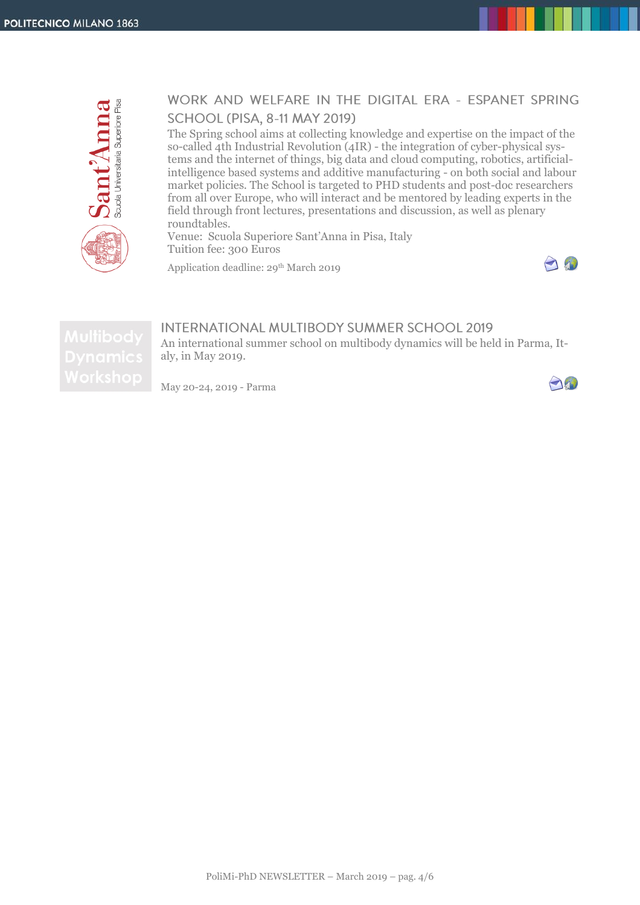

# WORK AND WELFARE IN THE DIGITAL ERA - ESPANET SPRING **SCHOOL (PISA, 8-11 MAY 2019)**

The Spring school aims at collecting knowledge and expertise on the impact of the so-called 4th Industrial Revolution (4IR) - the integration of cyber-physical systems and the internet of things, big data and cloud computing, robotics, artificialintelligence based systems and additive manufacturing - on both social and labour market policies. The School is targeted to PHD students and post-doc researchers from all over Europe, who will interact and be mentored by leading experts in the field through front lectures, presentations and discussion, as well as plenary roundtables.

Venue: Scuola Superiore Sant'Anna in Pisa, Italy Tuition fee: 300 Euros

Application deadline: 29<sup>th</sup> March 2019



#### **INTERNATIONAL MULTIBODY SUMMER SCHOOL 2019** An international summer school on multibody dynamics will be held in Parma, Italy, in May 2019.

May 20-24, 2019 - Parma

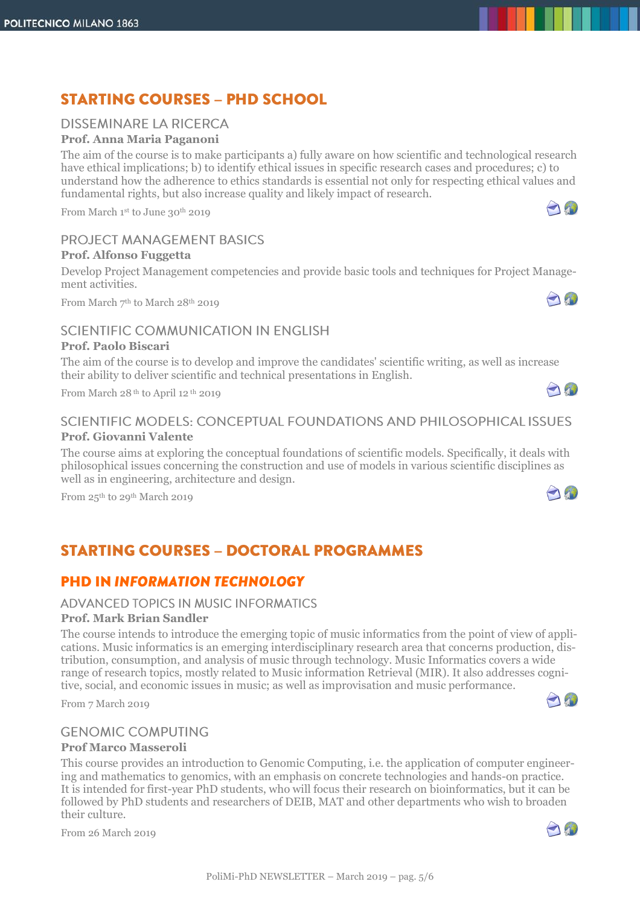# **STARTING COURSES - PHD SCHOOL**

# **DISSEMINARE LA RICERCA**

# **Prof. Anna Maria Paganoni**

The aim of the course is to make participants a) fully aware on how scientific and technological research have ethical implications; b) to identify ethical issues in specific research cases and procedures; c) to understand how the adherence to ethics standards is essential not only for respecting ethical values and fundamental rights, but also increase quality and likely impact of research.

From March 1 st to June 30th 2019

# **PROJECT MANAGEMENT BASICS**

# **Prof. Alfonso Fuggetta**

Develop Project Management competencies and provide basic tools and techniques for Project Management activities.

From March 7<sup>th</sup> to March 28<sup>th</sup> 2019

## SCIENTIFIC COMMUNICATION IN ENGLISH

#### **Prof. Paolo Biscari**

The aim of the course is to develop and improve the candidates' scientific writing, as well as increase their ability to deliver scientific and technical presentations in English.

From March 28 th to April 12 th 2019

# SCIENTIFIC MODELS: CONCEPTUAL FOUNDATIONS AND PHILOSOPHICAL ISSUES **Prof. Giovanni Valente**

The course aims at exploring the conceptual foundations of scientific models. Specifically, it deals with philosophical issues concerning the construction and use of models in various scientific disciplines as well as in engineering, architecture and design.

From  $25<sup>th</sup>$  to  $29<sup>th</sup>$  March 2019

# **STARTING COURSES - DOCTORAL PROGRAMMES**

# **PHD IN INFORMATION TECHNOLOGY**

#### **ADVANCED TOPICS IN MUSIC INFORMATICS**

#### **Prof. Mark Brian Sandler**

The course intends to introduce the emerging topic of music informatics from the point of view of applications. Music informatics is an emerging interdisciplinary research area that concerns production, distribution, consumption, and analysis of music through technology. Music Informatics covers a wide range of research topics, mostly related to Music information Retrieval (MIR). It also addresses cognitive, social, and economic issues in music; as well as improvisation and music performance.

From 7 March 2019

## **GENOMIC COMPUTING**

#### **Prof Marco Masseroli**

This course provides an introduction to Genomic Computing, i.e. the application of computer engineering and mathematics to genomics, with an emphasis on concrete technologies and hands-on practice. It is intended for first-year PhD students, who will focus their research on bioinformatics, but it can be followed by PhD students and researchers of DEIB, MAT and other departments who wish to broaden their culture.

From 26 March 2019